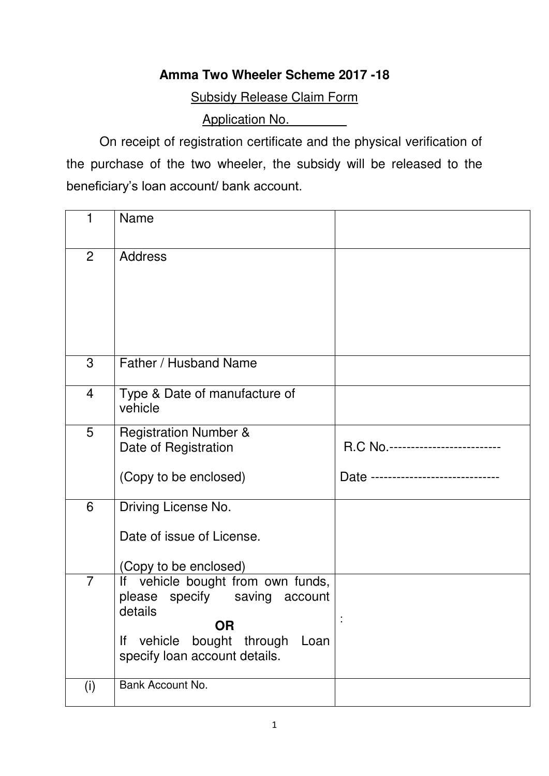## **Amma Two Wheeler Scheme 2017 -18**

Subsidy Release Claim Form

Application No.

 On receipt of registration certificate and the physical verification of the purchase of the two wheeler, the subsidy will be released to the beneficiary's loan account/ bank account.

| 1              | <b>Name</b>                                                                                                                                                         |                                                                         |
|----------------|---------------------------------------------------------------------------------------------------------------------------------------------------------------------|-------------------------------------------------------------------------|
| $\overline{2}$ | <b>Address</b>                                                                                                                                                      |                                                                         |
| 3              | Father / Husband Name                                                                                                                                               |                                                                         |
| 4              | Type & Date of manufacture of<br>vehicle                                                                                                                            |                                                                         |
| 5              | <b>Registration Number &amp;</b><br>Date of Registration<br>(Copy to be enclosed)                                                                                   | R.C No.-------------------------<br>Date ------------------------------ |
| 6              | Driving License No.<br>Date of issue of License.<br>(Copy to be enclosed)                                                                                           |                                                                         |
| $\overline{7}$ | If vehicle bought from own funds,<br>please specify saving account<br>details<br><b>OR</b><br>vehicle bought through<br>lf<br>Loan<br>specify loan account details. |                                                                         |
| (i)            | Bank Account No.                                                                                                                                                    |                                                                         |